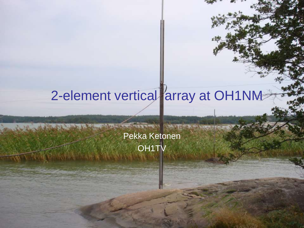# 2-element vertical array at OH1NM

Pekka Ketonen OH1TV

28.8.2009 OH1TV 1980 OH1TV 1980 OH1TV 1980 OH1TV 1980 OH1TV 1980 OH1TV 1980 OH1TV 1980 OH1TV 1980 OH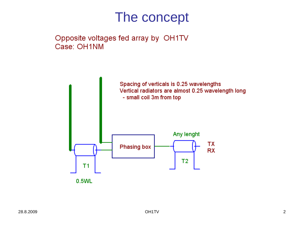#### The concept

#### Opposite voltages fed array by OH1TV Case: OH1NM

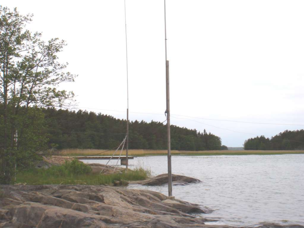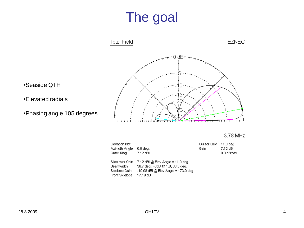# The goal



•Seaside QTH

- •Elevated radials
- •Phasing angle 105 degrees

#### 3.78 MHz

| Elevation Plot |                                                  | Cursor Elev | 11.0 deg. |
|----------------|--------------------------------------------------|-------------|-----------|
| Azimuth Angle  | $0.0$ deg.                                       | Gain        | 7.12 dBi  |
| Outer Ring     | 7.12 dBi                                         |             | 0.0 dBmax |
|                | Slice Max Gain 7.12 dBi @ Elev Angle = 11.0 deg. |             |           |
| Beamwidth      | 36.7 deg.; -3dB @ 1.8, 38.5 deg.                 |             |           |
| Sidelobe Gain  | $-10.08$ dBi @ Elev Angle = 173.0 deg.           |             |           |
| Front/Sidelobe | 17.19 dB                                         |             |           |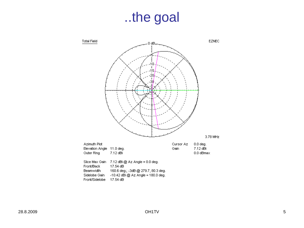## ..the goal

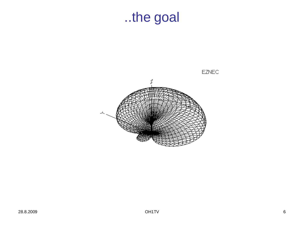# ..the goal

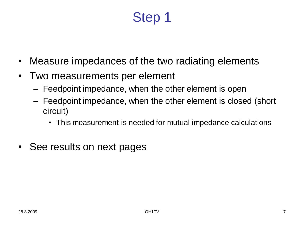# Step 1

- Measure impedances of the two radiating elements
- Two measurements per element
	- Feedpoint impedance, when the other element is open
	- Feedpoint impedance, when the other element is closed (short circuit)
		- This measurement is needed for mutual impedance calculations
- See results on next pages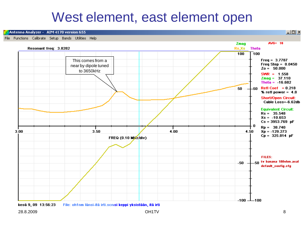#### West element, east element open

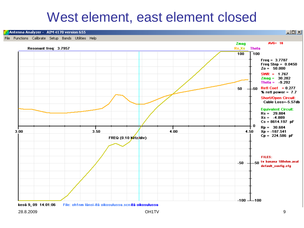#### West element, east element closed

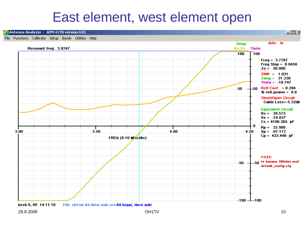#### East element, west element open

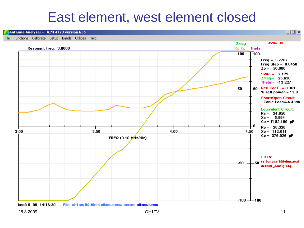#### East element, west element closed

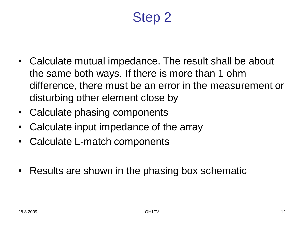# Step 2

- Calculate mutual impedance. The result shall be about the same both ways. If there is more than 1 ohm difference, there must be an error in the measurement or disturbing other element close by
- Calculate phasing components
- Calculate input impedance of the array
- Calculate L-match components
- Results are shown in the phasing box schematic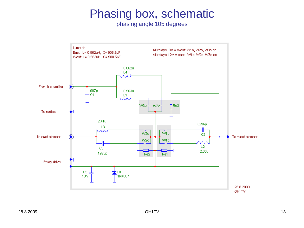#### Phasing box, schematic

phasing angle 105 degrees

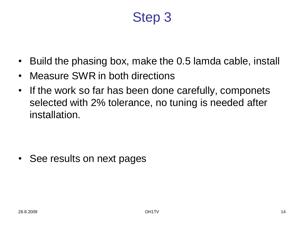# Step 3

- Build the phasing box, make the 0.5 lamda cable, install
- Measure SWR in both directions
- If the work so far has been done carefully, componets selected with 2% tolerance, no tuning is needed after installation.

• See results on next pages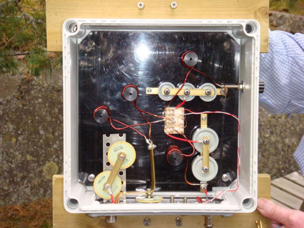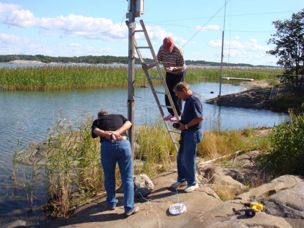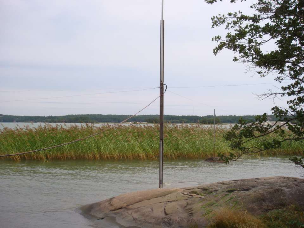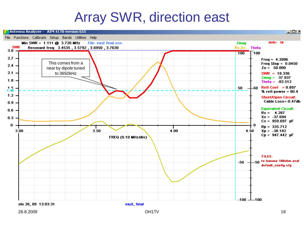# Array SWR, direction east